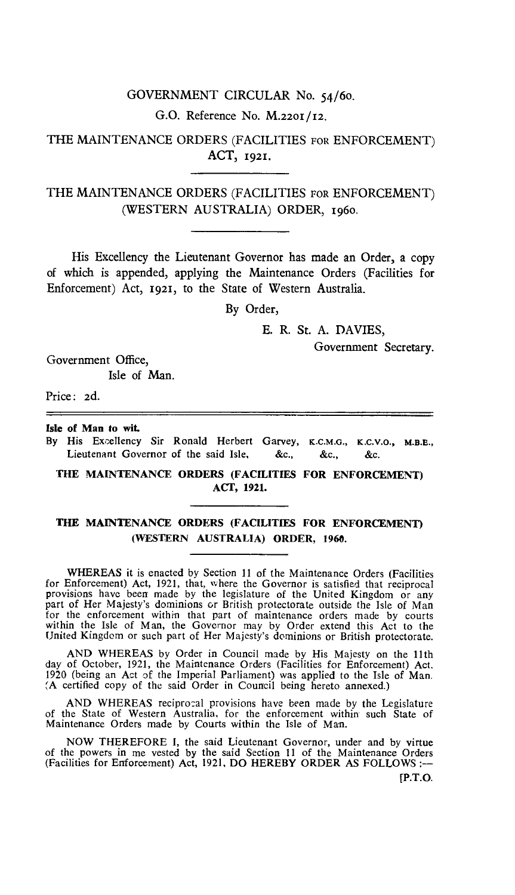## GOVERNMENT CIRCULAR No. 54/6o.

G.O. Reference No. M.220I/12.

THE MAINTENANCE ORDERS (FACILITIES FOR ENFORCEMENT) ACT, 1921.

THE MAINTENANCE ORDERS (FACILITIES FOR ENFORCEMENT) (WESTERN AUSTRALIA) ORDER, 196o.

His Excellency the Lieutenant Governor has made an Order, a copy of which is appended, applying the Maintenance Orders (Facilities for Enforcement) Act, 1921, to the State of Western Australia.

By Order,

E. R. St. A. DAVIES,

Government Secretary.

Government Office, Isle of Man.

Price: 2d.

**Isle of Man to wit.** 

**By** His Excellency Sir Ronald Herbert Garvey, **K.C.M.G., K.C.V.O., M.B.E.,**  Lieutenant Governor of the said Isle, &c., &c., &c.

**THE MAINTENANCE ORDERS (FACILITIES FOR ENFORCEMENT) ACT, 1921.** 

## **THE MAINTENANCE ORDERS (FACILITIES FOR ENFORCEMENT) (WESTERN AUSTRALIA) ORDER, 1960.**

**WHEREAS** it is enacted by Section 11 of the Maintenance Orders (Facilities for Enforcement) Act, 1921, that, where the Governor is satisfied that reciprocal provisions have been made by the legislature of the United Kingdom or any part of Her Majesty's dominions or British protectorate outside the Isle of Man for the enforcement within that part of maintenance orders made by courts within the Isle of Man, the Governor may by Order extend this Act to the United Kingdom or such part of Her Majesty's dominions or British protectorate.

AND WHEREAS by Order in Council made by His Majesty on the 11th day of October, 1921, the Maintenance Orders (Facilities for Enforcement) Act. 1920 (being an Act of the Imperial Parliament) was applied to the Isle of Man. (A certified copy of the said Order in Council being hereto annexed.)

AND WHEREAS reciprocal provisions have been made by the Legislature of the State of Western Australia, for the enforcement within such State of Maintenance Orders made by Courts within the Isle of Man.

NOW THEREFORE **I,** the said Lieutenant Governor, under and by virtue of the powers in me vested by the said Section 11 of the Maintenance Orders (Facilities for Enforcement) Act, 1921, **DO** HEREBY ORDER AS FOLLOWS :—

(P.T.O.